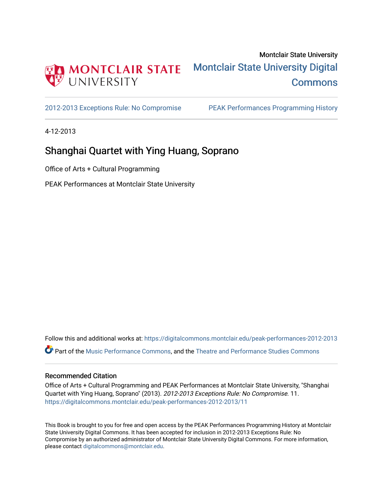

[2012-2013 Exceptions Rule: No Compromise](https://digitalcommons.montclair.edu/peak-performances-2012-2013) [PEAK Performances Programming History](https://digitalcommons.montclair.edu/peak-performances-programming-history) 

4-12-2013

# Shanghai Quartet with Ying Huang, Soprano

Office of Arts + Cultural Programming

PEAK Performances at Montclair State University

Follow this and additional works at: [https://digitalcommons.montclair.edu/peak-performances-2012-2013](https://digitalcommons.montclair.edu/peak-performances-2012-2013?utm_source=digitalcommons.montclair.edu%2Fpeak-performances-2012-2013%2F11&utm_medium=PDF&utm_campaign=PDFCoverPages)  Part of the [Music Performance Commons](http://network.bepress.com/hgg/discipline/1128?utm_source=digitalcommons.montclair.edu%2Fpeak-performances-2012-2013%2F11&utm_medium=PDF&utm_campaign=PDFCoverPages), and the [Theatre and Performance Studies Commons](http://network.bepress.com/hgg/discipline/552?utm_source=digitalcommons.montclair.edu%2Fpeak-performances-2012-2013%2F11&utm_medium=PDF&utm_campaign=PDFCoverPages) 

# Recommended Citation

Office of Arts + Cultural Programming and PEAK Performances at Montclair State University, "Shanghai Quartet with Ying Huang, Soprano" (2013). 2012-2013 Exceptions Rule: No Compromise. 11. [https://digitalcommons.montclair.edu/peak-performances-2012-2013/11](https://digitalcommons.montclair.edu/peak-performances-2012-2013/11?utm_source=digitalcommons.montclair.edu%2Fpeak-performances-2012-2013%2F11&utm_medium=PDF&utm_campaign=PDFCoverPages)

This Book is brought to you for free and open access by the PEAK Performances Programming History at Montclair State University Digital Commons. It has been accepted for inclusion in 2012-2013 Exceptions Rule: No Compromise by an authorized administrator of Montclair State University Digital Commons. For more information, please contact [digitalcommons@montclair.edu.](mailto:digitalcommons@montclair.edu)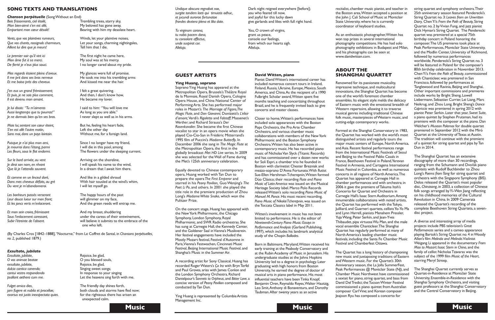

recitalist, chamber music pianist, and teacher in the Boston area,Witten accepted a position at the John J. Cali School of Music at Montclair State University, where he is currently coordinator of keyboard studies.

As an enthusiastic photographer,Witten has won top prizes in several international photography competitions. He has had solo photography exhibitions in Budapest and Milan, and his photographs can be seen at www.davidwitten.com.

# **ABOUT THE SHANGHAI QUARTET**

Renowned for its passionate musicality, impressive technique, and multicultural innovations, the Shanghai Quartet has become one of the world's foremost chamber ensembles. Its elegant style melds the delicacy of Eastern music with the emotional breadth of Western repertoire, allowing it to traverse musical genres including traditional Chinese folk music, masterpieces of Western music, and cutting-edge contemporary works.

Formed at the Shanghai Conservatory in 1983, the Quartet has worked with the world's most distinguished artists and regularly tours the major music centers of Europe, North America, and Asia. Recent festival performances range from the International Music Festivals of Seoul and Beijing to the Festival Pablo Casals in France, Beethoven Festival in Poland,Yerevan Festival inArmenia, and Cartagena International Music Festival in Colombia, as well as numerous concerts in all regions of NorthAmerica.The Quartet has appeared at Carnegie Hall in chamber performances and with orchestra; in 2006 it gave the premiere of Takuma Itoh's Concerto for Quartet and Orchestra in Carnegie Hall's Isaac Stern Auditorium. Among innumerable collaborations with noted artists, the Quartet has performed with theTokyo, Juilliard, and Guarneri quartets, cellistsYo-Yo Ma and Lynn Harrell, pianists Menahem Pressler, Yuja Wang, Peter Serkin, and Jean-Yves Thibaudet, pipa virtuosaWu Man, and the male vocal ensemble Chanticleer.The Shanghai Quartet has regularly performed at many of NorthAmerica's leading chamber music festivals, including the Santa Fe Chamber Music Festival and Chamberfest Ottawa.

The Quartet has a long history of championing new music and juxtaposing traditions of Eastern andWestern music. For the Quartet's 30th Anniversary season, the La Jolla SummerFest, Peak Performances @ Montclair State (NJ), and Chamber Music Northwest have commissioned a sextet for piano, string quartet, and bass from David Del Tredici; the Tucson Winter Festival commissioned a piano quintet fromAustralian composer CarlVine; and Korean composer Jeajoon Ryu has composed a concerto for

*Undique obscura regnabat nox,* Dark night reigned everywhere [before];<br> *surgite tandem laeti qui timuistis adhuc*, you who feared till now, *frondes dextera plena et lilia date.* give garlands and lilies with full right hand.

*Tu virginum corona*, *You, O* crown of virgins, *unde suspirat cor.* **hearts** *sigh.* **from which our hearts sigh.** 

*tu nobis pacem dona*, *parameters grant* us peace, *tu consolare affectus,* console our feelings, *Alleluja.* Alleluja.

Soprano Ying Huang has appeared at the Metropolitan Opera, Brussels'sThéâtre Royal de la Monnaie, Royal Danish Opera, Cologne Opera House, and China National Center of Performing Arts. She has performed major roles in Mozart's *The Marriage of Figaro,The Magic Flute*, and *Don Giovanni;* Donizetti's *L'elisir d'amore;*Verdi's *Rigoletto* and *Falstaff*; Massenet's *Werther*; and Richard Strauss's *Der Rosenkavalier*. She became the first Chinese vocalist to star in an opera movie when she played Cio-Cio-San in Frédéric Mitterrand's 1995 film of Puccini's *Madame Butterfly*. In December 2006 she sang in *The Magic Flute* at the Metropolitan Opera, the first in the globally broadcast *Met HD Live* series. In 2009 she was selected for theWall of Fame during the Met's 125th anniversary celebration.

string quartet and symphony orchestra.Their 25th anniversary season featured Penderecki's String Quartet no. 3: *Leaves from an Unwritten Diary,* ChenYi's *From the Path of Beauty,* String Quartet no. 2 byVivian Fung, and jazz pianist Dick Hyman's String Quartet*.* The Penderecki quartet was premiered at a special 75th birthday concert in Poland honoring the composer.The US premieres took place at Peak Performances, Montclair State University, and the Modlin Center, University of Richmond, followed by numerous performances worldwide. Penderecki's String Quartet no. 3 will be featured in Poland for the composer's 80th birthday celebration in November 2013. ChenYi's *From the Path of Beauty*, commissioned with Chanticleer, was premiered in San Francisco, followed by performances at Tanglewood and Ravinia, Beijing and Shanghai. Other important commissions and premieres include works by Bright Sheng, Lowell Liebermann, Sebastian Currier, Lei Liang, Marc Neikrug, and Zhou Long. Bright Sheng's *Dance Capriccio* was premiered in spring 2012 with pianist Peter Serkin. Later that year, *Sweet Suite*, a piano quintet by Stephen Prutsman, had its premiere with the composer at the piano. Dan Welcher's *Museon Polemos* for double quartet premiered in September 2012 with the Miró Quartet at the University of Texas at Austin. The tradition will continue with the premiere of a quintet for string quartet and pipa byTan Dun in 2014.

On the concert stage, Huang has appeared with the New York Philharmonic, the Chicago Symphony, London Symphony, Royal Philharmonic, and SWR Radio orchestras. She has sung at Carnegie Hall, the Kennedy Center, and the Goldener Saal inVienna's Musikverein. Her festival engagements have included the Mostly Mozart festival, Festival d'Automne in Paris,Vienna's Festwochen, Cincinnati Music Festival, Beijing International Music Festival, and Shanghai's Music in the Summer Air.

The Shanghai Quartet has an extensive discography of more than 30 recordings, ranging from the Schumann and Dvořák piano quintets with Rudolf Buchbinder to Zhou Long's *Poems fromTang* for string quartet and orchestra with the Singapore Symphony (BIS). Delos released the Quartet's most popular disc, *Chinasong*, in 2003, a collection of Chinese folk songs arranged by Yi-Wen Jiang reflecting on his childhood memories of the Cultural Revolution in China. In 2009 Camerata released the Quartet's recording of the complete Beethoven String Quartets, a sevendisc project.

A diverse and interesting array of media projects include PBS television's *Great Performances* series and a cameo appearance playing Bartok's String Quartet no. 4 inWoody Allen's film *Melinda and Melinda*.Violinist Weigang Li appeared in the documentary *From Mao to Mozart: Isaac Stern in China*, and the family of cellist NicholasTzavaras was the subject of the 1999 film *Music of the Heart*, starring Meryl Streep.

Born in Baltimore, Maryland, Witten received his early training at the Peabody Conservatory and at the Rubin Academy of Music in Jerusalem. His undergraduate studies at the Johns Hopkins University led to a degree in psychology. Later graduating with high honors from Boston University, he earned the degree of doctor of musical arts in piano performance. His most influential teachers have beenTinka Knopf, Benjamin Oren, Reynaldo Reyes, Walter Hautzig, Leo Smit,Anthony di Bonaventura, and Dorothy Taubman.After twenty years as an active

*Chanson perpétuelle* (SongWithout an End) **Bois** *frissonnants, ciel* étoilé, **Election Exercía de la Trembling trees, starry sky,** *Mon bien-aimé s'en est allé,* My beloved has gone away,

*Vents, que vos plaintives rumeurs,* Winds, let your plaintive noises, *Aillent lui dire que je meurs!* 

The Shanghai Quartet currently serves as Quartet-in-Residence at Montclair State University, Ensemble-in-Residence with the Shanghai Symphony Orchestra, and visiting guest professors at the Shanghai Conservatory and the Central Conservatory in Beijing.

*Le premier soir qu'il vint ici* The first night he came here, *Mon âme fut à sa merci.* My soul was at his mercy. *De fierté je n'eus plus souci.* I no longer cared about my pride.

*Il me prit dans ses bras nerveux* He took me into his trembling arms

*Mes regards étaient pleins d'aveux.* My glances were full of promise. *Et me baisa près des cheveux.* And kissed me near the hair.

*J'en eus un grand frémissement;* I felt a great quivering. *Et puis, je ne sais plus comment,* And then, I don't know how, *Il* est *devenu mon amant.* He became my lover.

*surgite tandem laeti qui timuistis adhuc,* you who feared till now, *et jucundi aurorae fortunatae* and joyful for this lucky dawn

*Mais lui, sentant son cœur éteint,* But he, feeling his heart fade, *S'en est allé l'autre matin,* Left the other day



## **GUEST ARTISTS**

### **Ying Huang, soprano**

**Et** *mon sein croira*, *frémissant* **And my breast**, shuddering *Sous l'enlacement caressant,* under the caress of their entwinement, *Subir l'étreinte de l'absent.* will believe it submits to the embrace of the one who left.

*jam fugere et nubila et procellae*; **both clouds** and storms have fled now; *exortus est justis inexspectata quies.* for the righteous there has arisen an unexpected calm.

Equally devoted to Chinese contemporary opera, Huang worked with Tan Dun to prepare the opera *The First Emperor* and starred in his *Peony Pavilion,* GuoWenjing's *The Poet Li Po*, and others. In 2001 she played the title role in the premiere production of Zhou Long's *MadameWhite Snake*, which won the Pulitzer Prize.

A recording artist for Sony Classical, Huang has recorded RogerWaters's *Ça Ira* with BrynTerfel and Paul Groves, arias with James Conlon and the London Symphony Orchestra, Richard Danielpour's S*onnets to Orpheus*, and *Bitter Love*, a concise version of *Peony Pavilion* composed and conducted byTan Dun.

Ying Huang is represented by ColumbiaArtists Management Inc.

### **David Witten, piano**

Pianist DavidWitten's international career has included numerous concert tours in Ireland, Finland, Russia, Ukraine, Europe, Mexico, South America, and China.As the recipient of a 1990 Fulbright Scholar award,Witten spent five months teaching and concertizing throughout Brazil, and he is frequently invited back to give concerts and master classes.

Closer to home,Witten's performances have included solo appearances with the Boston Pops Orchestra, the Pro Arte Chamber Orchestra, and various chamber music collaborations with members of the NewYork Philharmonic and the Boston Symphony Orchestra.Witten has also been active in contemporary music. He has recorded piano music of Nicholas Van Slyck (Titanic Records) and has commissioned over a dozen new works for Soli Espri, a chamber trio he founded in Boston with clarinetist Chester Brezniak and mezzo-soprano D'Anna Fortunato.With flutist Sue-Ellen Hershman-Tcherepnin,Witten formed Dúo Clásico;their recording *Flute and Piano Music of Latin America* was issued on the Musical Heritage Society label.Marco Polo Records releasedWitten's solo recording *Piano Music of Manuel M. Ponce*. His most recent recording, *Piano Music of NikolaiTcherepnin*, was issued on theToccata Classics label in May 2011.

Witten's involvement in music has not been limited to performance. He is the editor of *Nineteenth-Century Piano Music: Essays in Performance and Analysis* (Garland Publishing, 1997), which includes his landmark analytical study of the Chopin *Ballades*.

## **SONG TEXTS AND TRANSLATIONS**

*Que vos chants,rossignols charmeurs,* Let your songs, charming nightingales,

*Aussi longtemps que tu pourras!"* As long as you are able."

*Je lui disais: "Tu m'aimeras* I said to him: "You will love me *Je ne dormais bien qu'en ses bras.* I never slept as well as in his arms.

*Sans moi, dans un pays lointain.* Without me, for a foreign land.

*Puisque je n'ai plus mon ami*, Since I no longer have my friend, Les fleurs, sous le flot endormi. The flowers under the sleeping current.

*Sur le bord arrivée*, *au vent au a a a a Arriving* on the shoreline, *Je dirai son nom, en rêvant* I will speak his name to the wind, In a dream that I await him there.

*Je mourrai dans l'étang, parmi* I will die in this pool, among

*Et comme en un linceul doré,* And like in a gilded shroud *Du vent je m'abandonnerai.* I will let myself go.

*Dans mes cheveux défaits, au gré* With hair tousled at the wind's whim,

*Leur douce lueur sur mon front;* will glimmer on my face,

**Emportant** *mon cœur désolé!* Bearing with him my desolate heart.

*Les bonheurs passés verseront* The happy hours of the past *Et les joncs verts m'enlaceront.* And the green reeds will entrap me.

(By Charles Cros [1842–1888],"Nocturne," from Le Coffret de Santal, in *Chansons perpétuelles, no. 2,* published 1879.)

### *Exsultate, jubilate*

*Exsultate, jubilate,*  $\qquad \qquad$  **Rejoice, be glad,** *O* vos *animae beatae* **O** you blessed souls, *exsultate, jubilate,*  $\qquad \qquad$  **Rejoice, be glad,** *dulcia cantica canendo;* example 3 and 5 Singing sweet songs;

*Fulget amica dies,* The friendly day shines forth,

*cantui* vestro *respondendo* **antical** *cantui response to your singing*<br> *psallant aethera cum me.* In response to your sing forth v Let the heavens sing forth with me.